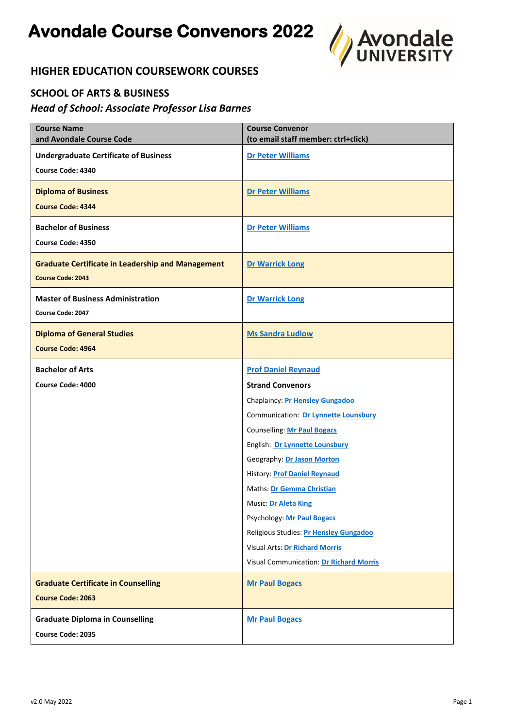

# **HIGHER EDUCATION COURSEWORK COURSES**

#### **SCHOOL OF ARTS & BUSINESS**

#### *Head of School: Associate Professor Lisa Barnes*

| <b>Course Name</b><br>and Avondale Course Code           | <b>Course Convenor</b><br>(to email staff member: ctrl+click) |
|----------------------------------------------------------|---------------------------------------------------------------|
| <b>Undergraduate Certificate of Business</b>             | <b>Dr Peter Williams</b>                                      |
| Course Code: 4340                                        |                                                               |
| <b>Diploma of Business</b>                               | <b>Dr Peter Williams</b>                                      |
| <b>Course Code: 4344</b>                                 |                                                               |
| <b>Bachelor of Business</b>                              | <b>Dr Peter Williams</b>                                      |
| Course Code: 4350                                        |                                                               |
| <b>Graduate Certificate in Leadership and Management</b> | <b>Dr Warrick Long</b>                                        |
| <b>Course Code: 2043</b>                                 |                                                               |
| <b>Master of Business Administration</b>                 | <b>Dr Warrick Long</b>                                        |
| Course Code: 2047                                        |                                                               |
| <b>Diploma of General Studies</b>                        | <b>Ms Sandra Ludlow</b>                                       |
| <b>Course Code: 4964</b>                                 |                                                               |
| <b>Bachelor of Arts</b>                                  | <b>Prof Daniel Reynaud</b>                                    |
| Course Code: 4000                                        | <b>Strand Convenors</b>                                       |
|                                                          | Chaplaincy: Pr Hensley Gungadoo                               |
|                                                          | Communication: Dr Lynnette Lounsbury                          |
|                                                          | <b>Counselling: Mr Paul Bogacs</b>                            |
|                                                          | English: Dr Lynnette Lounsbury                                |
|                                                          | Geography: Dr Jason Morton                                    |
|                                                          | <b>History: Prof Daniel Reynaud</b>                           |
|                                                          | Maths: Dr Gemma Christian                                     |
|                                                          | Music: Dr Aleta King                                          |
|                                                          | <b>Psychology: Mr Paul Bogacs</b>                             |
|                                                          | Religious Studies: Pr Hensley Gungadoo                        |
|                                                          | Visual Arts: Dr Richard Morris                                |
|                                                          | <b>Visual Communication: Dr Richard Morris</b>                |
| <b>Graduate Certificate in Counselling</b>               | <b>Mr Paul Bogacs</b>                                         |
| <b>Course Code: 2063</b>                                 |                                                               |
| <b>Graduate Diploma in Counselling</b>                   | <b>Mr Paul Bogacs</b>                                         |
| Course Code: 2035                                        |                                                               |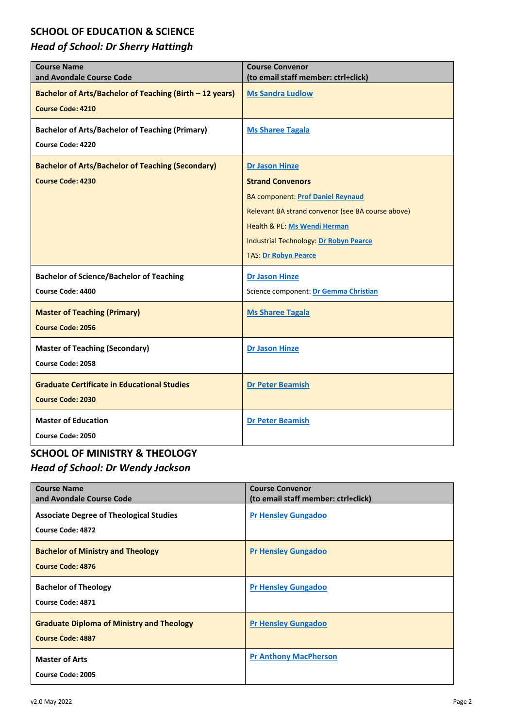#### **SCHOOL OF EDUCATION & SCIENCE**

# *Head of School: Dr Sherry Hattingh*

| <b>Course Name</b><br>and Avondale Course Code           | <b>Course Convenor</b><br>(to email staff member: ctrl+click) |
|----------------------------------------------------------|---------------------------------------------------------------|
| Bachelor of Arts/Bachelor of Teaching (Birth - 12 years) | <b>Ms Sandra Ludlow</b>                                       |
| <b>Course Code: 4210</b>                                 |                                                               |
| <b>Bachelor of Arts/Bachelor of Teaching (Primary)</b>   | <b>Ms Sharee Tagala</b>                                       |
| <b>Course Code: 4220</b>                                 |                                                               |
| <b>Bachelor of Arts/Bachelor of Teaching (Secondary)</b> | <b>Dr Jason Hinze</b>                                         |
| <b>Course Code: 4230</b>                                 | <b>Strand Convenors</b>                                       |
|                                                          | <b>BA component: Prof Daniel Reynaud</b>                      |
|                                                          | Relevant BA strand convenor (see BA course above)             |
|                                                          | Health & PE: Ms Wendi Herman                                  |
|                                                          | <b>Industrial Technology: Dr Robyn Pearce</b>                 |
|                                                          | <b>TAS: Dr Robyn Pearce</b>                                   |
| <b>Bachelor of Science/Bachelor of Teaching</b>          | <b>Dr Jason Hinze</b>                                         |
| Course Code: 4400                                        | Science component: Dr Gemma Christian                         |
| <b>Master of Teaching (Primary)</b>                      | <b>Ms Sharee Tagala</b>                                       |
| <b>Course Code: 2056</b>                                 |                                                               |
| <b>Master of Teaching (Secondary)</b>                    | <b>Dr Jason Hinze</b>                                         |
| Course Code: 2058                                        |                                                               |
| <b>Graduate Certificate in Educational Studies</b>       | <b>Dr Peter Beamish</b>                                       |
| <b>Course Code: 2030</b>                                 |                                                               |
| <b>Master of Education</b>                               | <b>Dr Peter Beamish</b>                                       |
| Course Code: 2050                                        |                                                               |

# **SCHOOL OF MINISTRY & THEOLOGY** *Head of School: Dr Wendy Jackson*

| <b>Course Name</b><br>and Avondale Course Code                               | <b>Course Convenor</b><br>(to email staff member: ctrl+click) |
|------------------------------------------------------------------------------|---------------------------------------------------------------|
| <b>Associate Degree of Theological Studies</b><br>Course Code: 4872          | <b>Pr Hensley Gungadoo</b>                                    |
| <b>Bachelor of Ministry and Theology</b><br>Course Code: 4876                | <b>Pr Hensley Gungadoo</b>                                    |
| <b>Bachelor of Theology</b><br>Course Code: 4871                             | <b>Pr Hensley Gungadoo</b>                                    |
| <b>Graduate Diploma of Ministry and Theology</b><br><b>Course Code: 4887</b> | <b>Pr Hensley Gungadoo</b>                                    |
| <b>Master of Arts</b><br>Course Code: 2005                                   | <b>Pr Anthony MacPherson</b>                                  |